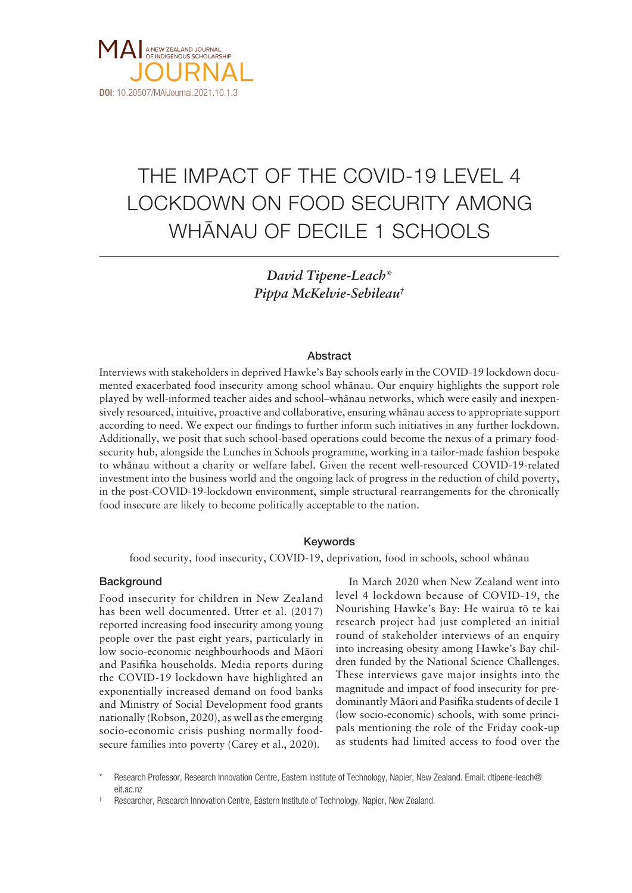

# THE IMPACT OF THE COVID-19 LEVEL 4 LOCKDOWN ON FOOD SECURITY AMONG WHÄNAU OF DECILE 1 SCHOOLS

*David Tipene-Leach\* Pippa McKelvie-Sebileau†*

# Abstract

Interviews with stakeholders in deprived Hawke's Bay schools early in the COVID-19 lockdown documented exacerbated food insecurity among school whänau. Our enquiry highlights the support role played by well-informed teacher aides and school–whänau networks, which were easily and inexpensively resourced, intuitive, proactive and collaborative, ensuring whänau access to appropriate support according to need. We expect our findings to further inform such initiatives in any further lockdown. Additionally, we posit that such school-based operations could become the nexus of a primary foodsecurity hub, alongside the Lunches in Schools programme, working in a tailor-made fashion bespoke to whänau without a charity or welfare label. Given the recent well-resourced COVID-19-related investment into the business world and the ongoing lack of progress in the reduction of child poverty, in the post-COVID-19-lockdown environment, simple structural rearrangements for the chronically food insecure are likely to become politically acceptable to the nation.

# Keywords

food security, food insecurity, COVID-19, deprivation, food in schools, school whänau

# **Background**

Food insecurity for children in New Zealand has been well documented. Utter et al. (2017) reported increasing food insecurity among young people over the past eight years, particularly in low socio-economic neighbourhoods and Mäori and Pasifika households. Media reports during the COVID-19 lockdown have highlighted an exponentially increased demand on food banks and Ministry of Social Development food grants nationally (Robson, 2020), as well as the emerging socio-economic crisis pushing normally foodsecure families into poverty (Carey et al., 2020).

In March 2020 when New Zealand went into level 4 lockdown because of COVID-19, the Nourishing Hawke's Bay: He wairua tö te kai research project had just completed an initial round of stakeholder interviews of an enquiry into increasing obesity among Hawke's Bay children funded by the National Science Challenges. These interviews gave major insights into the magnitude and impact of food insecurity for predominantly Mäori and Pasifika students of decile 1 (low socio-economic) schools, with some principals mentioning the role of the Friday cook-up as students had limited access to food over the

Research Professor, Research Innovation Centre, Eastern Institute of Technology, Napier, New Zealand. Email: dtipene-leach@ eit.ac.nz

<sup>†</sup> Researcher, Research Innovation Centre, Eastern Institute of Technology, Napier, New Zealand.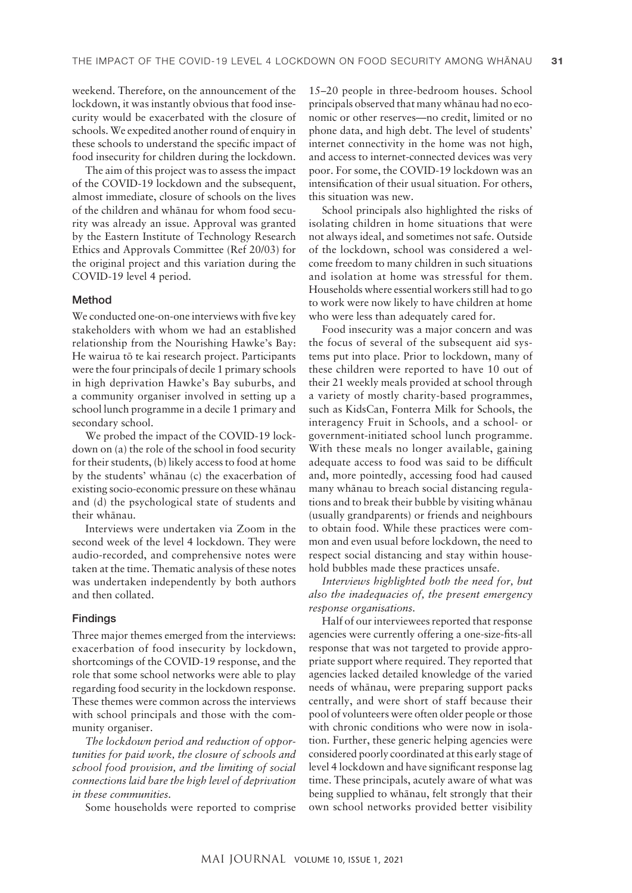weekend. Therefore, on the announcement of the lockdown, it was instantly obvious that food insecurity would be exacerbated with the closure of schools. We expedited another round of enquiry in these schools to understand the specific impact of food insecurity for children during the lockdown.

The aim of this project was to assess the impact of the COVID-19 lockdown and the subsequent, almost immediate, closure of schools on the lives of the children and whänau for whom food security was already an issue. Approval was granted by the Eastern Institute of Technology Research Ethics and Approvals Committee (Ref 20/03) for the original project and this variation during the COVID-19 level 4 period.

## Method

We conducted one-on-one interviews with five key stakeholders with whom we had an established relationship from the Nourishing Hawke's Bay: He wairua tö te kai research project. Participants were the four principals of decile 1 primary schools in high deprivation Hawke's Bay suburbs, and a community organiser involved in setting up a school lunch programme in a decile 1 primary and secondary school.

We probed the impact of the COVID-19 lockdown on (a) the role of the school in food security for their students, (b) likely access to food at home by the students' whänau (c) the exacerbation of existing socio-economic pressure on these whänau and (d) the psychological state of students and their whänau.

Interviews were undertaken via Zoom in the second week of the level 4 lockdown. They were audio-recorded, and comprehensive notes were taken at the time. Thematic analysis of these notes was undertaken independently by both authors and then collated.

# Findings

Three major themes emerged from the interviews: exacerbation of food insecurity by lockdown, shortcomings of the COVID-19 response, and the role that some school networks were able to play regarding food security in the lockdown response. These themes were common across the interviews with school principals and those with the community organiser.

*The lockdown period and reduction of opportunities for paid work, the closure of schools and school food provision, and the limiting of social connections laid bare the high level of deprivation in these communities.*

Some households were reported to comprise

15–20 people in three-bedroom houses. School principals observed that many whänau had no economic or other reserves—no credit, limited or no phone data, and high debt. The level of students' internet connectivity in the home was not high, and access to internet-connected devices was very poor. For some, the COVID-19 lockdown was an intensification of their usual situation. For others, this situation was new.

School principals also highlighted the risks of isolating children in home situations that were not always ideal, and sometimes not safe. Outside of the lockdown, school was considered a welcome freedom to many children in such situations and isolation at home was stressful for them. Households where essential workers still had to go to work were now likely to have children at home who were less than adequately cared for.

Food insecurity was a major concern and was the focus of several of the subsequent aid systems put into place. Prior to lockdown, many of these children were reported to have 10 out of their 21 weekly meals provided at school through a variety of mostly charity-based programmes, such as KidsCan, Fonterra Milk for Schools, the interagency Fruit in Schools, and a school- or government-initiated school lunch programme. With these meals no longer available, gaining adequate access to food was said to be difficult and, more pointedly, accessing food had caused many whänau to breach social distancing regulations and to break their bubble by visiting whänau (usually grandparents) or friends and neighbours to obtain food. While these practices were common and even usual before lockdown, the need to respect social distancing and stay within household bubbles made these practices unsafe.

*Interviews highlighted both the need for, but also the inadequacies of, the present emergency response organisations.*

Half of our interviewees reported that response agencies were currently offering a one-size-fits-all response that was not targeted to provide appropriate support where required. They reported that agencies lacked detailed knowledge of the varied needs of whänau, were preparing support packs centrally, and were short of staff because their pool of volunteers were often older people or those with chronic conditions who were now in isolation. Further, these generic helping agencies were considered poorly coordinated at this early stage of level 4 lockdown and have significant response lag time. These principals, acutely aware of what was being supplied to whänau, felt strongly that their own school networks provided better visibility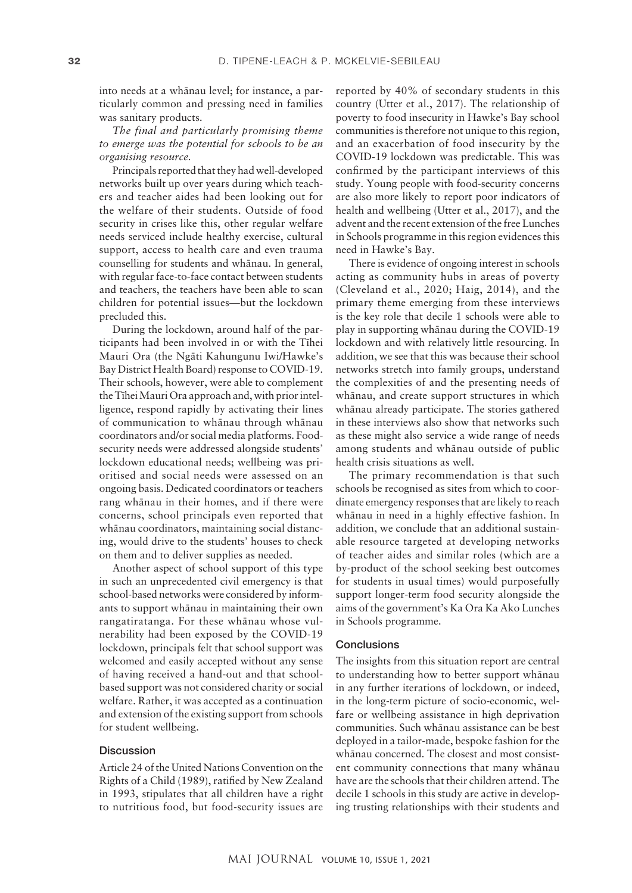into needs at a whänau level; for instance, a particularly common and pressing need in families was sanitary products.

*The final and particularly promising theme to emerge was the potential for schools to be an organising resource.*

Principals reported that they had well-developed networks built up over years during which teachers and teacher aides had been looking out for the welfare of their students. Outside of food security in crises like this, other regular welfare needs serviced include healthy exercise, cultural support, access to health care and even trauma counselling for students and whänau. In general, with regular face-to-face contact between students and teachers, the teachers have been able to scan children for potential issues—but the lockdown precluded this.

During the lockdown, around half of the participants had been involved in or with the Tïhei Mauri Ora (the Ngäti Kahungunu Iwi/Hawke's Bay District Health Board) response to COVID-19. Their schools, however, were able to complement the Tïhei Mauri Ora approach and, with prior intelligence, respond rapidly by activating their lines of communication to whänau through whänau coordinators and/or social media platforms. Foodsecurity needs were addressed alongside students' lockdown educational needs; wellbeing was prioritised and social needs were assessed on an ongoing basis. Dedicated coordinators or teachers rang whänau in their homes, and if there were concerns, school principals even reported that whänau coordinators, maintaining social distancing, would drive to the students' houses to check on them and to deliver supplies as needed.

Another aspect of school support of this type in such an unprecedented civil emergency is that school-based networks were considered by informants to support whänau in maintaining their own rangatiratanga. For these whänau whose vulnerability had been exposed by the COVID-19 lockdown, principals felt that school support was welcomed and easily accepted without any sense of having received a hand-out and that schoolbased support was not considered charity or social welfare. Rather, it was accepted as a continuation and extension of the existing support from schools for student wellbeing.

# Discussion

Article 24 of the United Nations Convention on the Rights of a Child (1989), ratified by New Zealand in 1993, stipulates that all children have a right to nutritious food, but food-security issues are

reported by 40% of secondary students in this country (Utter et al., 2017). The relationship of poverty to food insecurity in Hawke's Bay school communities is therefore not unique to this region, and an exacerbation of food insecurity by the COVID-19 lockdown was predictable. This was confirmed by the participant interviews of this study. Young people with food-security concerns are also more likely to report poor indicators of health and wellbeing (Utter et al., 2017), and the advent and the recent extension of the free Lunches in Schools programme in this region evidences this need in Hawke's Bay.

There is evidence of ongoing interest in schools acting as community hubs in areas of poverty (Cleveland et al., 2020; Haig, 2014), and the primary theme emerging from these interviews is the key role that decile 1 schools were able to play in supporting whänau during the COVID-19 lockdown and with relatively little resourcing. In addition, we see that this was because their school networks stretch into family groups, understand the complexities of and the presenting needs of whänau, and create support structures in which whänau already participate. The stories gathered in these interviews also show that networks such as these might also service a wide range of needs among students and whänau outside of public health crisis situations as well.

The primary recommendation is that such schools be recognised as sites from which to coordinate emergency responses that are likely to reach whänau in need in a highly effective fashion. In addition, we conclude that an additional sustainable resource targeted at developing networks of teacher aides and similar roles (which are a by-product of the school seeking best outcomes for students in usual times) would purposefully support longer-term food security alongside the aims of the government's Ka Ora Ka Ako Lunches in Schools programme.

### **Conclusions**

The insights from this situation report are central to understanding how to better support whänau in any further iterations of lockdown, or indeed, in the long-term picture of socio-economic, welfare or wellbeing assistance in high deprivation communities. Such whänau assistance can be best deployed in a tailor-made, bespoke fashion for the whänau concerned. The closest and most consistent community connections that many whänau have are the schools that their children attend. The decile 1 schools in this study are active in developing trusting relationships with their students and